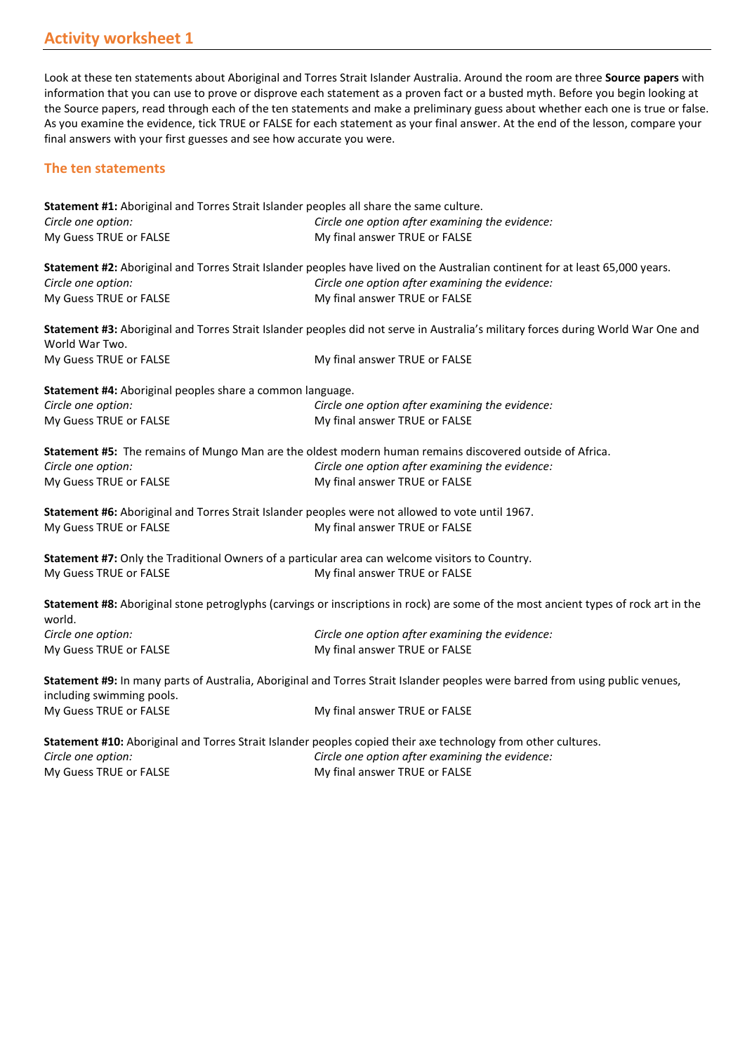Look at these ten statements about Aboriginal and Torres Strait Islander Australia. Around the room are three **Source papers** with information that you can use to prove or disprove each statement as a proven fact or a busted myth. Before you begin looking at the Source papers, read through each of the ten statements and make a preliminary guess about whether each one is true or false. As you examine the evidence, tick TRUE or FALSE for each statement as your final answer. At the end of the lesson, compare your final answers with your first guesses and see how accurate you were.

## **The ten statements**

|                                                           | Statement #1: Aboriginal and Torres Strait Islander peoples all share the same culture.                                             |
|-----------------------------------------------------------|-------------------------------------------------------------------------------------------------------------------------------------|
| Circle one option:                                        | Circle one option after examining the evidence:                                                                                     |
| My Guess TRUE or FALSE                                    | My final answer TRUE or FALSE                                                                                                       |
|                                                           | Statement #2: Aboriginal and Torres Strait Islander peoples have lived on the Australian continent for at least 65,000 years.       |
| Circle one option:                                        | Circle one option after examining the evidence:                                                                                     |
| My Guess TRUE or FALSE                                    | My final answer TRUE or FALSE                                                                                                       |
| World War Two.                                            | Statement #3: Aboriginal and Torres Strait Islander peoples did not serve in Australia's military forces during World War One and   |
| My Guess TRUE or FALSE                                    | My final answer TRUE or FALSE                                                                                                       |
| Statement #4: Aboriginal peoples share a common language. |                                                                                                                                     |
| Circle one option:                                        | Circle one option after examining the evidence:                                                                                     |
| My Guess TRUE or FALSE                                    | My final answer TRUE or FALSE                                                                                                       |
|                                                           | Statement #5: The remains of Mungo Man are the oldest modern human remains discovered outside of Africa.                            |
| Circle one option:                                        | Circle one option after examining the evidence:                                                                                     |
| My Guess TRUE or FALSE                                    | My final answer TRUE or FALSE                                                                                                       |
|                                                           | Statement #6: Aboriginal and Torres Strait Islander peoples were not allowed to vote until 1967.                                    |
| My Guess TRUE or FALSE                                    | My final answer TRUE or FALSE                                                                                                       |
|                                                           | Statement #7: Only the Traditional Owners of a particular area can welcome visitors to Country.                                     |
| My Guess TRUE or FALSE                                    | My final answer TRUE or FALSE                                                                                                       |
| world.                                                    | Statement #8: Aboriginal stone petroglyphs (carvings or inscriptions in rock) are some of the most ancient types of rock art in the |
| Circle one option:                                        | Circle one option after examining the evidence:                                                                                     |
| My Guess TRUE or FALSE                                    | My final answer TRUE or FALSE                                                                                                       |
| including swimming pools.                                 | Statement #9: In many parts of Australia, Aboriginal and Torres Strait Islander peoples were barred from using public venues,       |
| My Guess TRUE or FALSE                                    | My final answer TRUE or FALSE                                                                                                       |
|                                                           | Statement #10: Aboriginal and Torres Strait Islander peoples copied their axe technology from other cultures.                       |
| Circle one option:                                        | Circle one option after examining the evidence:                                                                                     |
| My Guess TRUE or FALSE                                    | My final answer TRUE or FALSE                                                                                                       |